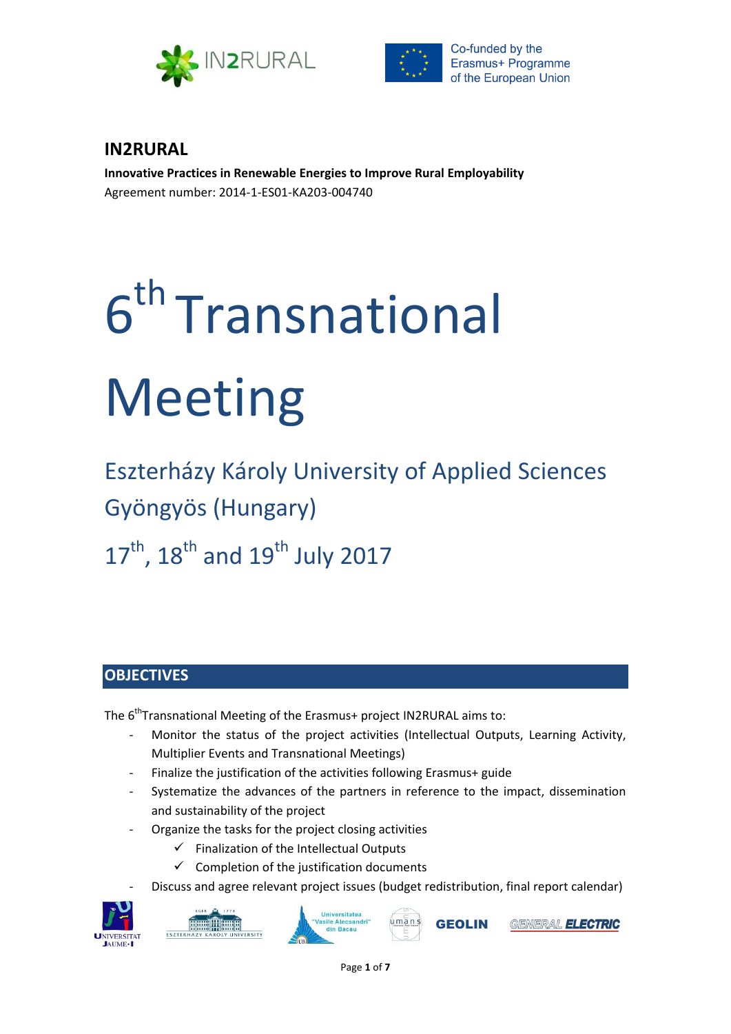



# **IN2RURAL**

**Innovative Practices in Renewable Energies to Improve Rural Employability** Agreement number: 2014-1-ES01-KA203-004740

# 6 th Transnational Meeting

Eszterházy Károly University of Applied Sciences Gyöngyös (Hungary)

 $17<sup>th</sup>$ ,  $18<sup>th</sup>$  and  $19<sup>th</sup>$  July 2017

# **OBJECTIVES**

The 6<sup>th</sup>Transnational Meeting of the Erasmus+ project IN2RURAL aims to:

- Monitor the status of the project activities (Intellectual Outputs, Learning Activity, Multiplier Events and Transnational Meetings)
- Finalize the justification of the activities following Erasmus+ guide
- Systematize the advances of the partners in reference to the impact, dissemination and sustainability of the project
- Organize the tasks for the project closing activities
	- $\checkmark$  Finalization of the Intellectual Outputs
	- $\checkmark$  Completion of the justification documents
	- Discuss and agree relevant project issues (budget redistribution, final report calendar)



**HILL THE HILL** ESZTERF





GENERAL **ELECTRIC**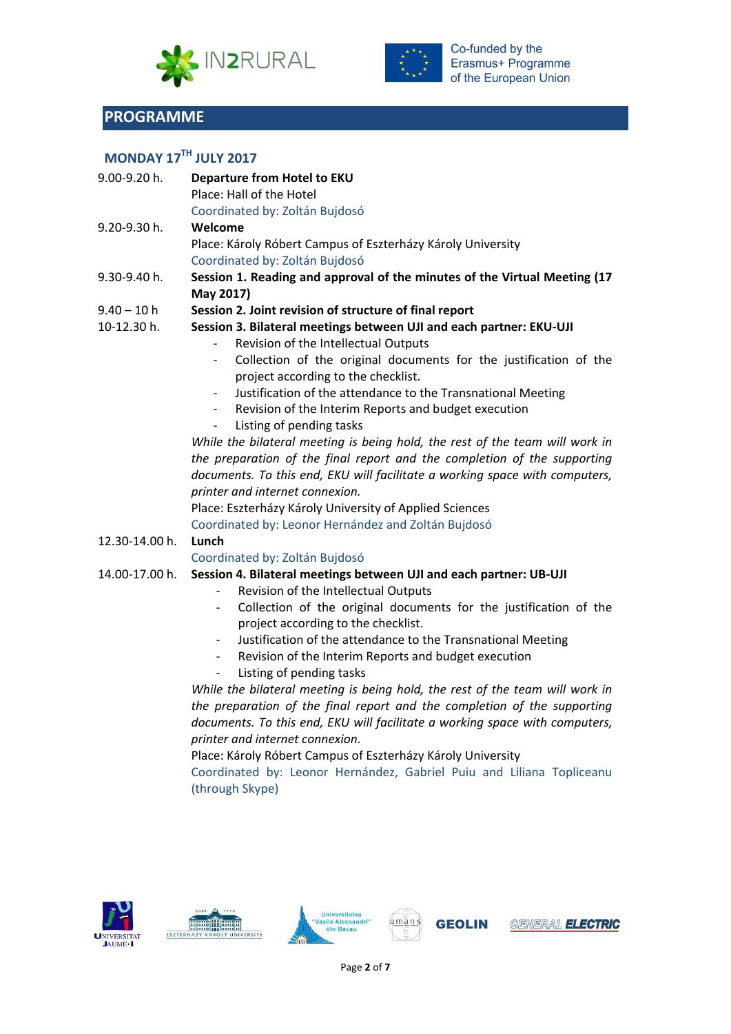



# **PROGRAMME**

# **MONDAY 17TH JULY 2017**

| 9.00-9.20 h.   | Departure from Hotel to EKU<br>Place: Hall of the Hotel                                                  |  |  |
|----------------|----------------------------------------------------------------------------------------------------------|--|--|
|                | Coordinated by: Zoltán Bujdosó                                                                           |  |  |
| 9.20-9.30 h.   | Welcome                                                                                                  |  |  |
|                | Place: Károly Róbert Campus of Eszterházy Károly University                                              |  |  |
|                | Coordinated by: Zoltán Bujdosó                                                                           |  |  |
| 9.30-9.40 h.   | Session 1. Reading and approval of the minutes of the Virtual Meeting (17<br>May 2017)                   |  |  |
| $9.40 - 10 h$  | Session 2. Joint revision of structure of final report                                                   |  |  |
| 10-12.30 h.    | Session 3. Bilateral meetings between UJI and each partner: EKU-UJI                                      |  |  |
|                | Revision of the Intellectual Outputs                                                                     |  |  |
|                | Collection of the original documents for the justification of the<br>project according to the checklist. |  |  |
|                | Justification of the attendance to the Transnational Meeting<br>$\overline{\phantom{a}}$                 |  |  |
|                | Revision of the Interim Reports and budget execution<br>$\overline{\phantom{a}}$                         |  |  |
|                | Listing of pending tasks                                                                                 |  |  |
|                | While the bilateral meeting is being hold, the rest of the team will work in                             |  |  |
|                | the preparation of the final report and the completion of the supporting                                 |  |  |
|                | documents. To this end, EKU will facilitate a working space with computers,                              |  |  |
|                | printer and internet connexion.                                                                          |  |  |
|                | Place: Eszterházy Károly University of Applied Sciences                                                  |  |  |
|                | Coordinated by: Leonor Hernández and Zoltán Bujdosó                                                      |  |  |
| 12.30-14.00 h. | Lunch                                                                                                    |  |  |
|                | Coordinated by: Zoltán Bujdosó                                                                           |  |  |
| 14.00-17.00 h. | Session 4. Bilateral meetings between UJI and each partner: UB-UJI                                       |  |  |
|                | Revision of the Intellectual Outputs                                                                     |  |  |
|                | Collection of the original documents for the justification of the<br>$\overline{\phantom{a}}$            |  |  |
|                | project according to the checklist.                                                                      |  |  |
|                | Justification of the attendance to the Transnational Meeting<br>$\overline{\phantom{a}}$                 |  |  |
|                | Revision of the Interim Reports and budget execution<br>$\overline{\phantom{a}}$                         |  |  |
|                | Listing of pending tasks<br>$\qquad \qquad -$                                                            |  |  |
|                | While the bilateral meeting is being hold, the rest of the team will work in                             |  |  |
|                | the preparation of the final report and the completion of the supporting                                 |  |  |
|                | documents. To this end, EKU will facilitate a working space with computers,                              |  |  |
|                | printer and internet connexion.                                                                          |  |  |

Place: Károly Róbert Campus of Eszterházy Károly University

Coordinated by: Leonor Hernández, Gabriel Puiu and Liliana Topliceanu (through Skype)









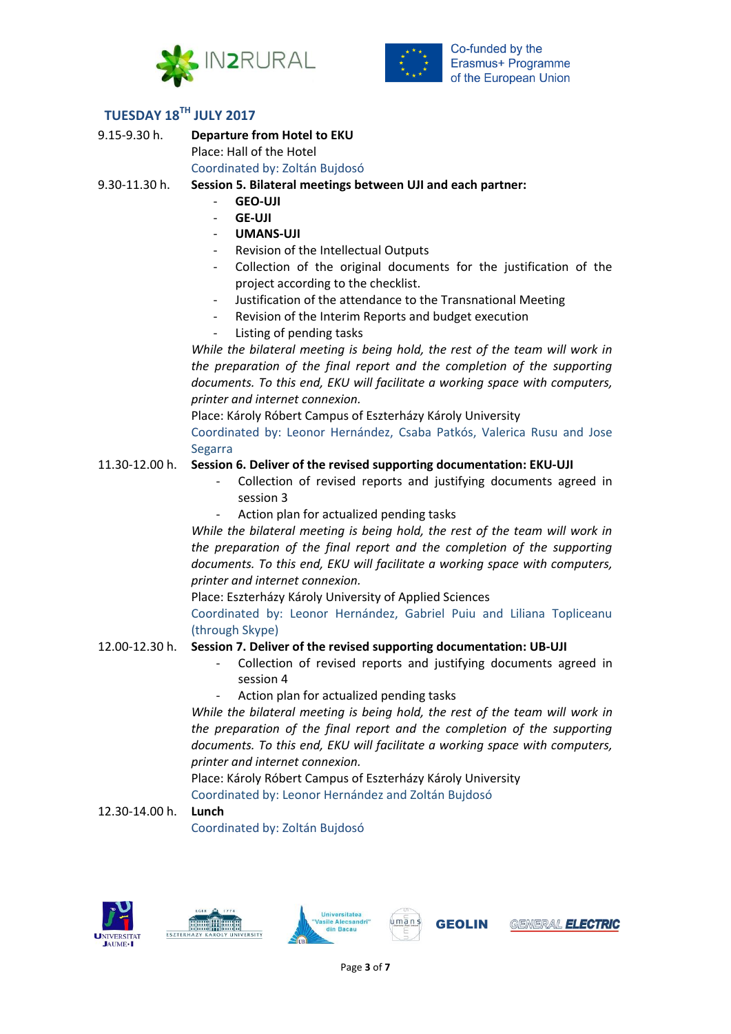



**TUESDAY 18TH JULY 2017**

9.15-9.30 h. **Departure from Hotel to EKU** Place: Hall of the Hotel Coordinated by: Zoltán Bujdosó

9.30-11.30 h. **Session 5. Bilateral meetings between UJI and each partner:**

- **GEO-UJI**
- **GE-UJI**
- **UMANS-UJI**
- Revision of the Intellectual Outputs
- Collection of the original documents for the justification of the project according to the checklist.
- Justification of the attendance to the Transnational Meeting
- Revision of the Interim Reports and budget execution
- Listing of pending tasks

*While the bilateral meeting is being hold, the rest of the team will work in the preparation of the final report and the completion of the supporting documents. To this end, EKU will facilitate a working space with computers, printer and internet connexion.*

Place: Károly Róbert Campus of Eszterházy Károly University Coordinated by: Leonor Hernández, Csaba Patkós, Valerica Rusu and Jose Segarra

### 11.30-12.00 h. **Session 6. Deliver of the revised supporting documentation: EKU-UJI**

- Collection of revised reports and justifying documents agreed in session 3
- Action plan for actualized pending tasks

*While the bilateral meeting is being hold, the rest of the team will work in the preparation of the final report and the completion of the supporting documents. To this end, EKU will facilitate a working space with computers, printer and internet connexion.*

Place: Eszterházy Károly University of Applied Sciences

Coordinated by: Leonor Hernández, Gabriel Puiu and Liliana Topliceanu (through Skype)

#### 12.00-12.30 h. **Session 7. Deliver of the revised supporting documentation: UB-UJI**

- Collection of revised reports and justifying documents agreed in session 4
- Action plan for actualized pending tasks

*While the bilateral meeting is being hold, the rest of the team will work in the preparation of the final report and the completion of the supporting documents. To this end, EKU will facilitate a working space with computers, printer and internet connexion.*

Place: Károly Róbert Campus of Eszterházy Károly University Coordinated by: Leonor Hernández and Zoltán Bujdosó

#### 12.30-14.00 h. **Lunch**

Coordinated by: Zoltán Bujdosó









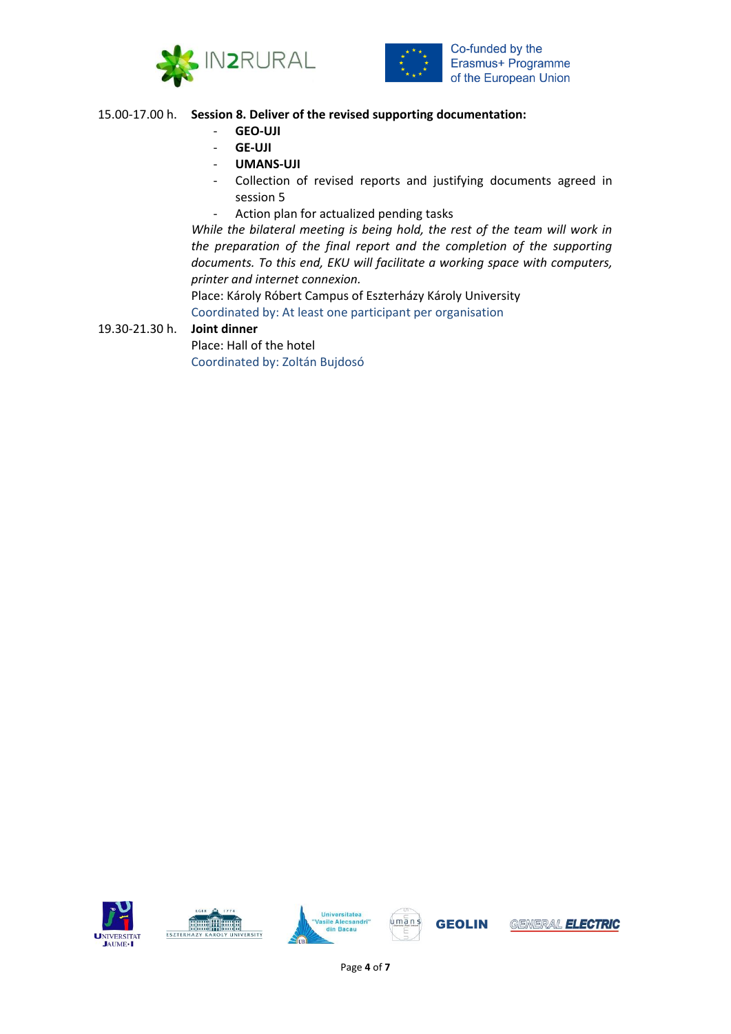



### 15.00-17.00 h. **Session 8. Deliver of the revised supporting documentation:**

- **GEO-UJI**
- **GE-UJI**
- **UMANS-UJI**
- Collection of revised reports and justifying documents agreed in session 5
- Action plan for actualized pending tasks

*While the bilateral meeting is being hold, the rest of the team will work in the preparation of the final report and the completion of the supporting documents. To this end, EKU will facilitate a working space with computers, printer and internet connexion.*

Place: Károly Róbert Campus of Eszterházy Károly University Coordinated by: At least one participant per organisation

## 19.30-21.30 h. **Joint dinner**

Place: Hall of the hotel Coordinated by: Zoltán Bujdosó









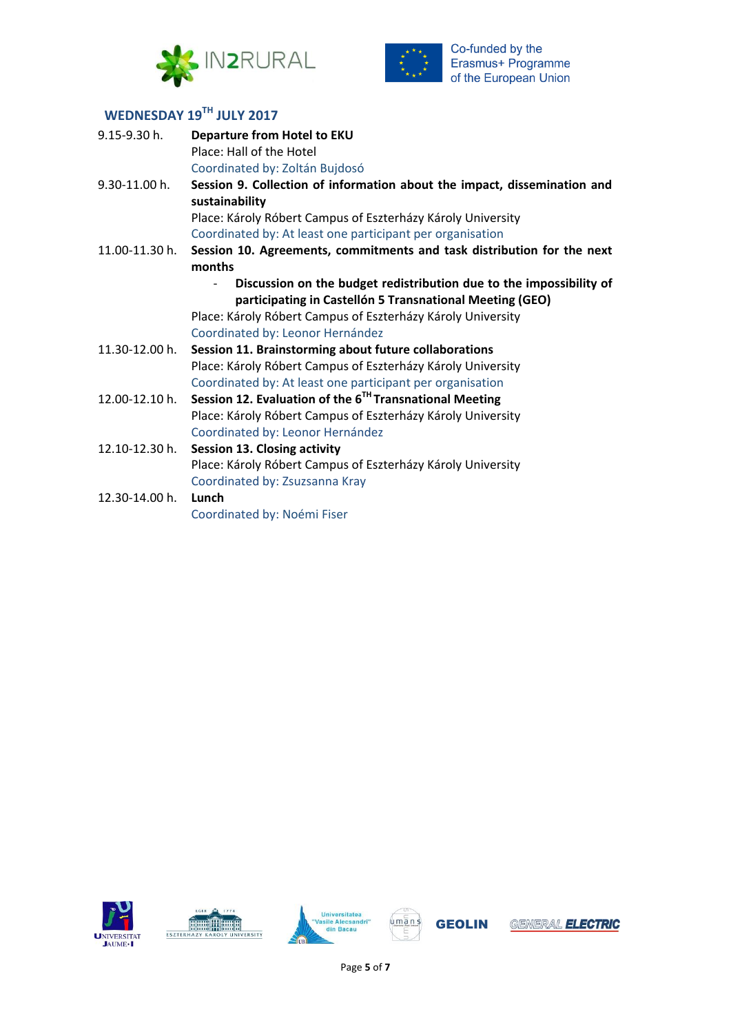



# **WEDNESDAY 19TH JULY 2017**

| 9.15-9.30 h.       | <b>Departure from Hotel to EKU</b>                                                         |
|--------------------|--------------------------------------------------------------------------------------------|
|                    | Place: Hall of the Hotel                                                                   |
|                    | Coordinated by: Zoltán Bujdosó                                                             |
| 9.30-11.00 h.      | Session 9. Collection of information about the impact, dissemination and<br>sustainability |
|                    | Place: Károly Róbert Campus of Eszterházy Károly University                                |
|                    | Coordinated by: At least one participant per organisation                                  |
| 11.00-11.30 h.     | Session 10. Agreements, commitments and task distribution for the next                     |
|                    | months                                                                                     |
|                    | Discussion on the budget redistribution due to the impossibility of                        |
|                    | participating in Castellón 5 Transnational Meeting (GEO)                                   |
|                    | Place: Károly Róbert Campus of Eszterházy Károly University                                |
|                    | Coordinated by: Leonor Hernández                                                           |
| 11.30-12.00 h.     | Session 11. Brainstorming about future collaborations                                      |
|                    | Place: Károly Róbert Campus of Eszterházy Károly University                                |
|                    | Coordinated by: At least one participant per organisation                                  |
| $12.00 - 12.10$ h. | Session 12. Evaluation of the $6^{TH}$ Transnational Meeting                               |
|                    | Place: Károly Róbert Campus of Eszterházy Károly University                                |
|                    | Coordinated by: Leonor Hernández                                                           |
| 12.10-12.30 h.     | <b>Session 13. Closing activity</b>                                                        |
|                    | Place: Károly Róbert Campus of Eszterházy Károly University                                |
|                    | Coordinated by: Zsuzsanna Kray                                                             |
| 12.30-14.00 h.     | Lunch                                                                                      |
|                    | Coordinated by: Noémi Fiser                                                                |









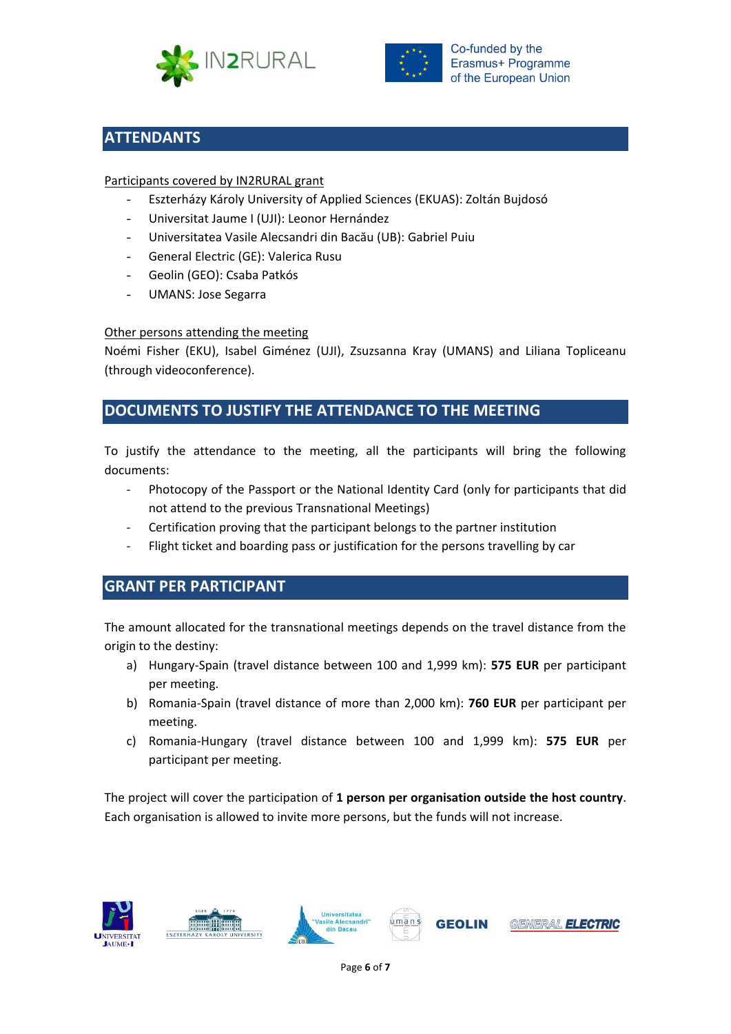



# **ATTENDANTS**

## Participants covered by IN2RURAL grant

- Eszterházy Károly University of Applied Sciences (EKUAS): Zoltán Bujdosó
- Universitat Jaume I (UJI): Leonor Hernández
- Universitatea Vasile Alecsandri din Bacău (UB): Gabriel Puiu
- General Electric (GE): Valerica Rusu
- Geolin (GEO): Csaba Patkós
- UMANS: Jose Segarra

## Other persons attending the meeting

Noémi Fisher (EKU), Isabel Giménez (UJI), Zsuzsanna Kray (UMANS) and Liliana Topliceanu (through videoconference).

## **DOCUMENTS TO JUSTIFY THE ATTENDANCE TO THE MEETING**

To justify the attendance to the meeting, all the participants will bring the following documents:

- Photocopy of the Passport or the National Identity Card (only for participants that did not attend to the previous Transnational Meetings)
- Certification proving that the participant belongs to the partner institution
- Flight ticket and boarding pass or justification for the persons travelling by car

## **GRANT PER PARTICIPANT**

The amount allocated for the transnational meetings depends on the travel distance from the origin to the destiny:

- a) Hungary-Spain (travel distance between 100 and 1,999 km): **575 EUR** per participant per meeting.
- b) Romania-Spain (travel distance of more than 2,000 km): **760 EUR** per participant per meeting.
- c) Romania-Hungary (travel distance between 100 and 1,999 km): **575 EUR** per participant per meeting.

The project will cover the participation of **1 person per organisation outside the host country**. Each organisation is allowed to invite more persons, but the funds will not increase.